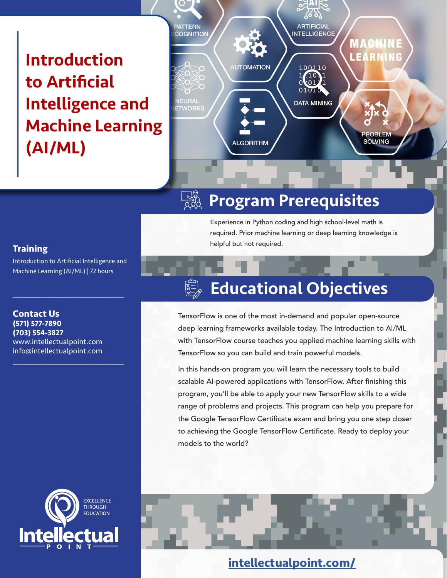Introduction to Artificial Intelligence and Machine Learning (AI/ML)



#### $\frac{1}{2}$ Program Prerequisites

Experience in Python coding and high school-level math is required. Prior machine learning or deep learning knowledge is helpful but not required.

#### **Training**

Introduction to Artificial Intelligence and Machine Learning (AI/ML) | 72 hours

 $\mathcal{L}_\mathcal{L}$  , where  $\mathcal{L}_\mathcal{L}$  is the set of the set of the set of the set of the set of the set of the set of the set of the set of the set of the set of the set of the set of the set of the set of the set of the

 $\mathcal{L}_\mathcal{L}$  , where  $\mathcal{L}_\mathcal{L}$  is the set of the set of the set of the set of the set of the set of the set of the set of the set of the set of the set of the set of the set of the set of the set of the set of the

**Contact Us (571) 577-7890 (703) 554-3827** www.intellectualpoint.com info@intellectualpoint.com

## **EXCELLENCE THROUGH EDUCATION**

# Educational Objectives

TensorFlow is one of the most in-demand and popular open-source deep learning frameworks available today. The Introduction to AI/ML with TensorFlow course teaches you applied machine learning skills with TensorFlow so you can build and train powerful models.

In this hands-on program you will learn the necessary tools to build scalable AI-powered applications with TensorFlow. After finishing this program, you'll be able to apply your new TensorFlow skills to a wide range of problems and projects. This program can help you prepare for the Google TensorFlow Certificate exam and bring you one step closer to achieving the Google TensorFlow Certificate. Ready to deploy your models to the world?

### **[intellectualpoint.com/](https://intellectualpoint.com/)**